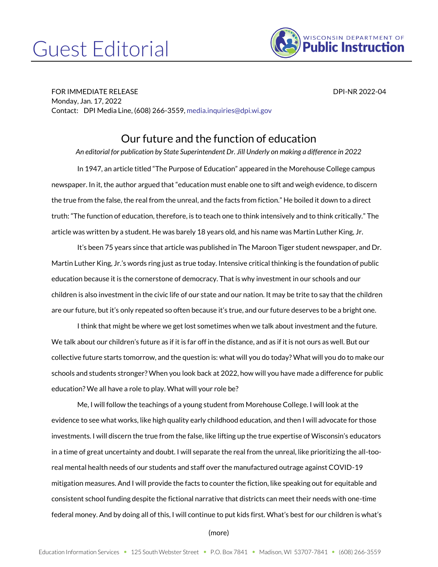## Guest Editorial



FOR IMMEDIATE RELEASE DPI-NR 2022-04 Monday, Jan. 17, 2022 Contact: DPI Media Line, (608) 266-3559[, media.inquiries@dpi.wi.gov](mailto:media.inquiries@dpi.wi.gov)

## Our future and the function of education

*An editorial for publication by State Superintendent Dr. Jill Underly on making a difference in 2022*

In 1947, an article titled "The Purpose of Education" appeared in the Morehouse College campus newspaper. In it, the author argued that "education must enable one to sift and weigh evidence, to discern the true from the false, the real from the unreal, and the facts from fiction." He boiled it down to a direct truth: "The function of education, therefore, is to teach one to think intensively and to think critically." The article was written by a student. He was barely 18 years old, and his name was Martin Luther King, Jr.

It's been 75 years since that article was published in The Maroon Tiger student newspaper, and Dr. Martin Luther King, Jr.'s words ring just as true today. Intensive critical thinking is the foundation of public education because it is the cornerstone of democracy. That is why investment in our schools and our children is also investment in the civic life of our state and our nation. It may be trite to say that the children are our future, but it's only repeated so often because it's true, and our future deserves to be a bright one.

I think that might be where we get lost sometimes when we talk about investment and the future. We talk about our children's future as if it is far off in the distance, and as if it is not ours as well. But our collective future starts tomorrow, and the question is: what will you do today? What will you do to make our schools and students stronger? When you look back at 2022, how will you have made a difference for public education? We all have a role to play. What will your role be?

Me, I will follow the teachings of a young student from Morehouse College. I will look at the evidence to see what works, like high quality early childhood education, and then I will advocate for those investments. I will discern the true from the false, like lifting up the true expertise of Wisconsin's educators in a time of great uncertainty and doubt. I will separate the real from the unreal, like prioritizing the all-tooreal mental health needs of our students and staff over the manufactured outrage against COVID-19 mitigation measures. And I will provide the facts to counter the fiction, like speaking out for equitable and consistent school funding despite the fictional narrative that districts can meet their needs with one-time federal money. And by doing all of this, I will continue to put kids first. What's best for our children is what's

## (more)